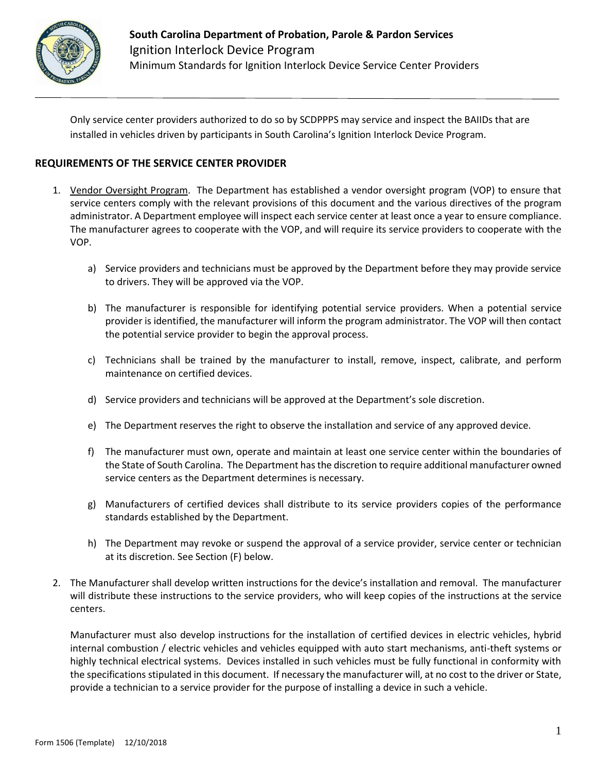

Only service center providers authorized to do so by SCDPPPS may service and inspect the BAIIDs that are installed in vehicles driven by participants in South Carolina's Ignition Interlock Device Program.

#### **REQUIREMENTS OF THE SERVICE CENTER PROVIDER**

- 1. Vendor Oversight Program. The Department has established a vendor oversight program (VOP) to ensure that service centers comply with the relevant provisions of this document and the various directives of the program administrator. A Department employee will inspect each service center at least once a year to ensure compliance. The manufacturer agrees to cooperate with the VOP, and will require its service providers to cooperate with the VOP.
	- a) Service providers and technicians must be approved by the Department before they may provide service to drivers. They will be approved via the VOP.
	- b) The manufacturer is responsible for identifying potential service providers. When a potential service provider is identified, the manufacturer will inform the program administrator. The VOP will then contact the potential service provider to begin the approval process.
	- c) Technicians shall be trained by the manufacturer to install, remove, inspect, calibrate, and perform maintenance on certified devices.
	- d) Service providers and technicians will be approved at the Department's sole discretion.
	- e) The Department reserves the right to observe the installation and service of any approved device.
	- f) The manufacturer must own, operate and maintain at least one service center within the boundaries of the State of South Carolina. The Department has the discretion to require additional manufacturer owned service centers as the Department determines is necessary.
	- g) Manufacturers of certified devices shall distribute to its service providers copies of the performance standards established by the Department.
	- h) The Department may revoke or suspend the approval of a service provider, service center or technician at its discretion. See Section (F) below.
- 2. The Manufacturer shall develop written instructions for the device's installation and removal. The manufacturer will distribute these instructions to the service providers, who will keep copies of the instructions at the service centers.

Manufacturer must also develop instructions for the installation of certified devices in electric vehicles, hybrid internal combustion / electric vehicles and vehicles equipped with auto start mechanisms, anti-theft systems or highly technical electrical systems. Devices installed in such vehicles must be fully functional in conformity with the specifications stipulated in this document. If necessary the manufacturer will, at no cost to the driver or State, provide a technician to a service provider for the purpose of installing a device in such a vehicle.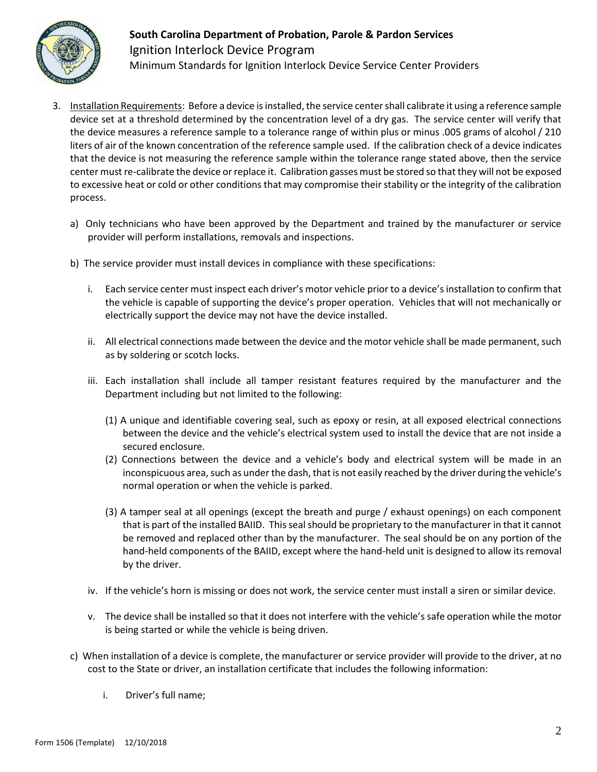

- 3. Installation Requirements: Before a device is installed, the service center shall calibrate it using a reference sample device set at a threshold determined by the concentration level of a dry gas. The service center will verify that the device measures a reference sample to a tolerance range of within plus or minus .005 grams of alcohol / 210 liters of air of the known concentration of the reference sample used. If the calibration check of a device indicates that the device is not measuring the reference sample within the tolerance range stated above, then the service center must re-calibrate the device or replace it. Calibration gasses must be stored so that they will not be exposed to excessive heat or cold or other conditions that may compromise their stability or the integrity of the calibration process.
	- a) Only technicians who have been approved by the Department and trained by the manufacturer or service provider will perform installations, removals and inspections.
	- b) The service provider must install devices in compliance with these specifications:
		- i. Each service center must inspect each driver's motor vehicle prior to a device's installation to confirm that the vehicle is capable of supporting the device's proper operation. Vehicles that will not mechanically or electrically support the device may not have the device installed.
		- ii. All electrical connections made between the device and the motor vehicle shall be made permanent, such as by soldering or scotch locks.
		- iii. Each installation shall include all tamper resistant features required by the manufacturer and the Department including but not limited to the following:
			- (1) A unique and identifiable covering seal, such as epoxy or resin, at all exposed electrical connections between the device and the vehicle's electrical system used to install the device that are not inside a secured enclosure.
			- (2) Connections between the device and a vehicle's body and electrical system will be made in an inconspicuous area, such as under the dash, that is not easily reached by the driver during the vehicle's normal operation or when the vehicle is parked.
			- (3) A tamper seal at all openings (except the breath and purge / exhaust openings) on each component that is part of the installed BAIID. This seal should be proprietary to the manufacturer in that it cannot be removed and replaced other than by the manufacturer. The seal should be on any portion of the hand-held components of the BAIID, except where the hand-held unit is designed to allow its removal by the driver.
		- iv. If the vehicle's horn is missing or does not work, the service center must install a siren or similar device.
		- v. The device shall be installed so that it does not interfere with the vehicle's safe operation while the motor is being started or while the vehicle is being driven.
	- c) When installation of a device is complete, the manufacturer or service provider will provide to the driver, at no cost to the State or driver, an installation certificate that includes the following information:
		- i. Driver's full name;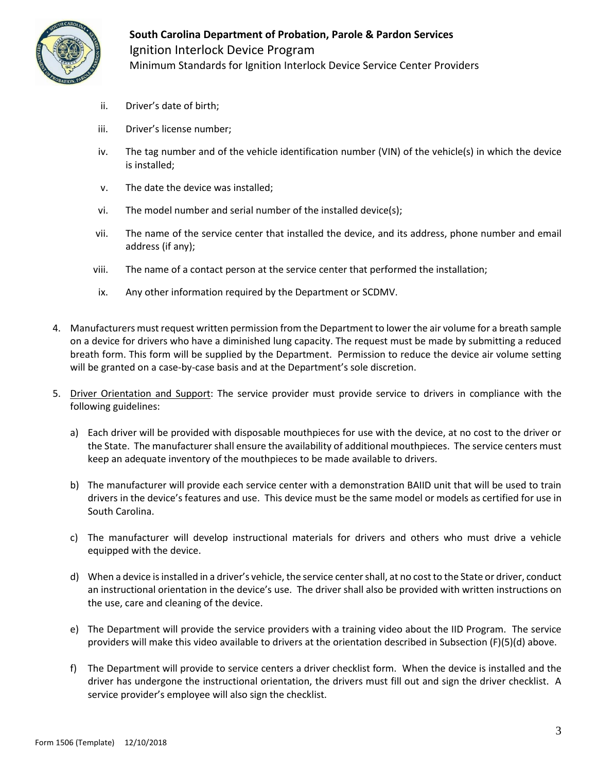

- ii. Driver's date of birth;
- iii. Driver's license number;
- iv. The tag number and of the vehicle identification number (VIN) of the vehicle(s) in which the device is installed;
- v. The date the device was installed;
- vi. The model number and serial number of the installed device(s);
- vii. The name of the service center that installed the device, and its address, phone number and email address (if any);
- viii. The name of a contact person at the service center that performed the installation;
- ix. Any other information required by the Department or SCDMV.
- 4. Manufacturers must request written permission from the Department to lower the air volume for a breath sample on a device for drivers who have a diminished lung capacity. The request must be made by submitting a reduced breath form. This form will be supplied by the Department. Permission to reduce the device air volume setting will be granted on a case-by-case basis and at the Department's sole discretion.
- 5. Driver Orientation and Support: The service provider must provide service to drivers in compliance with the following guidelines:
	- a) Each driver will be provided with disposable mouthpieces for use with the device, at no cost to the driver or the State. The manufacturer shall ensure the availability of additional mouthpieces. The service centers must keep an adequate inventory of the mouthpieces to be made available to drivers.
	- b) The manufacturer will provide each service center with a demonstration BAIID unit that will be used to train drivers in the device's features and use. This device must be the same model or models as certified for use in South Carolina.
	- c) The manufacturer will develop instructional materials for drivers and others who must drive a vehicle equipped with the device.
	- d) When a device is installed in a driver's vehicle, the service center shall, at no cost to the State or driver, conduct an instructional orientation in the device's use. The driver shall also be provided with written instructions on the use, care and cleaning of the device.
	- e) The Department will provide the service providers with a training video about the IID Program. The service providers will make this video available to drivers at the orientation described in Subsection (F)(5)(d) above.
	- f) The Department will provide to service centers a driver checklist form. When the device is installed and the driver has undergone the instructional orientation, the drivers must fill out and sign the driver checklist. A service provider's employee will also sign the checklist.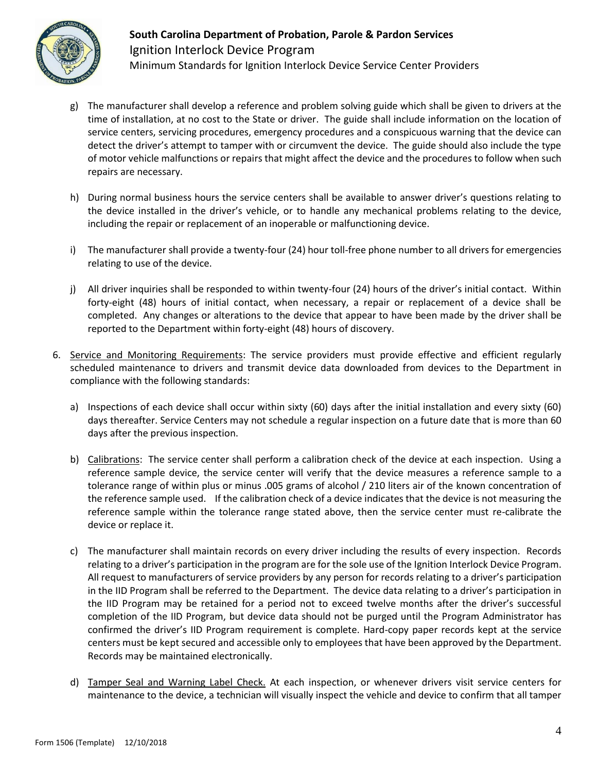

- g) The manufacturer shall develop a reference and problem solving guide which shall be given to drivers at the time of installation, at no cost to the State or driver. The guide shall include information on the location of service centers, servicing procedures, emergency procedures and a conspicuous warning that the device can detect the driver's attempt to tamper with or circumvent the device. The guide should also include the type of motor vehicle malfunctions or repairs that might affect the device and the procedures to follow when such repairs are necessary.
- h) During normal business hours the service centers shall be available to answer driver's questions relating to the device installed in the driver's vehicle, or to handle any mechanical problems relating to the device, including the repair or replacement of an inoperable or malfunctioning device.
- i) The manufacturer shall provide a twenty-four (24) hour toll-free phone number to all drivers for emergencies relating to use of the device.
- j) All driver inquiries shall be responded to within twenty-four (24) hours of the driver's initial contact. Within forty-eight (48) hours of initial contact, when necessary, a repair or replacement of a device shall be completed. Any changes or alterations to the device that appear to have been made by the driver shall be reported to the Department within forty-eight (48) hours of discovery.
- 6. Service and Monitoring Requirements: The service providers must provide effective and efficient regularly scheduled maintenance to drivers and transmit device data downloaded from devices to the Department in compliance with the following standards:
	- a) Inspections of each device shall occur within sixty (60) days after the initial installation and every sixty (60) days thereafter. Service Centers may not schedule a regular inspection on a future date that is more than 60 days after the previous inspection.
	- b) Calibrations: The service center shall perform a calibration check of the device at each inspection. Using a reference sample device, the service center will verify that the device measures a reference sample to a tolerance range of within plus or minus .005 grams of alcohol / 210 liters air of the known concentration of the reference sample used. If the calibration check of a device indicates that the device is not measuring the reference sample within the tolerance range stated above, then the service center must re-calibrate the device or replace it.
	- c) The manufacturer shall maintain records on every driver including the results of every inspection. Records relating to a driver's participation in the program are for the sole use of the Ignition Interlock Device Program. All request to manufacturers of service providers by any person for records relating to a driver's participation in the IID Program shall be referred to the Department. The device data relating to a driver's participation in the IID Program may be retained for a period not to exceed twelve months after the driver's successful completion of the IID Program, but device data should not be purged until the Program Administrator has confirmed the driver's IID Program requirement is complete. Hard-copy paper records kept at the service centers must be kept secured and accessible only to employees that have been approved by the Department. Records may be maintained electronically.
	- d) Tamper Seal and Warning Label Check. At each inspection, or whenever drivers visit service centers for maintenance to the device, a technician will visually inspect the vehicle and device to confirm that all tamper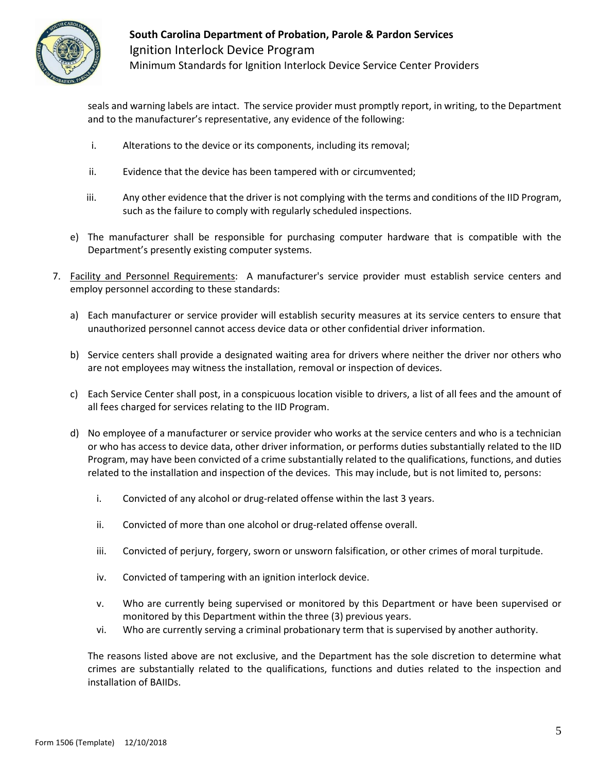

seals and warning labels are intact. The service provider must promptly report, in writing, to the Department and to the manufacturer's representative, any evidence of the following:

- i. Alterations to the device or its components, including its removal;
- ii. Evidence that the device has been tampered with or circumvented;
- iii. Any other evidence that the driver is not complying with the terms and conditions of the IID Program, such as the failure to comply with regularly scheduled inspections.
- e) The manufacturer shall be responsible for purchasing computer hardware that is compatible with the Department's presently existing computer systems.
- 7. Facility and Personnel Requirements: A manufacturer's service provider must establish service centers and employ personnel according to these standards:
	- a) Each manufacturer or service provider will establish security measures at its service centers to ensure that unauthorized personnel cannot access device data or other confidential driver information.
	- b) Service centers shall provide a designated waiting area for drivers where neither the driver nor others who are not employees may witness the installation, removal or inspection of devices.
	- c) Each Service Center shall post, in a conspicuous location visible to drivers, a list of all fees and the amount of all fees charged for services relating to the IID Program.
	- d) No employee of a manufacturer or service provider who works at the service centers and who is a technician or who has access to device data, other driver information, or performs duties substantially related to the IID Program, may have been convicted of a crime substantially related to the qualifications, functions, and duties related to the installation and inspection of the devices. This may include, but is not limited to, persons:
		- i. Convicted of any alcohol or drug-related offense within the last 3 years.
		- ii. Convicted of more than one alcohol or drug-related offense overall.
		- iii. Convicted of perjury, forgery, sworn or unsworn falsification, or other crimes of moral turpitude.
		- iv. Convicted of tampering with an ignition interlock device.
		- v. Who are currently being supervised or monitored by this Department or have been supervised or monitored by this Department within the three (3) previous years.
		- vi. Who are currently serving a criminal probationary term that is supervised by another authority.

The reasons listed above are not exclusive, and the Department has the sole discretion to determine what crimes are substantially related to the qualifications, functions and duties related to the inspection and installation of BAIIDs.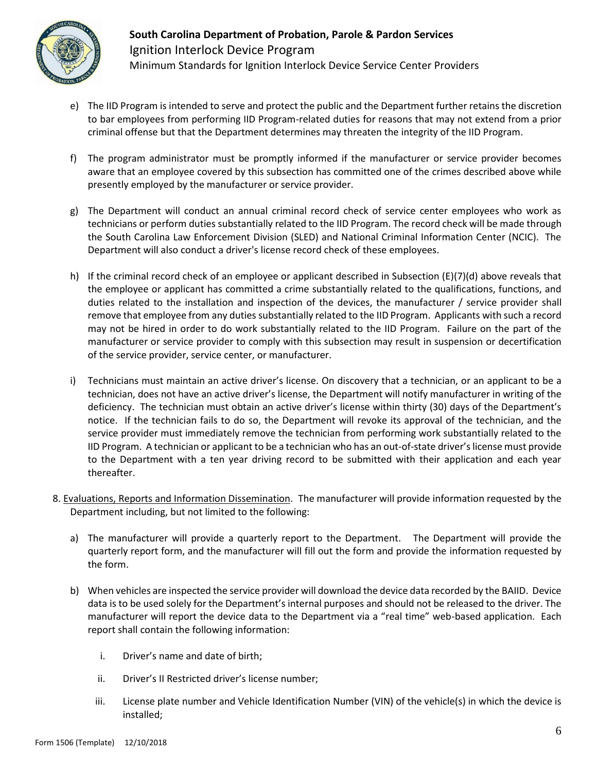

- e) The IID Program is intended to serve and protect the public and the Department further retains the discretion to bar employees from performing IID Program-related duties for reasons that may not extend from a prior criminal offense but that the Department determines may threaten the integrity of the IID Program.
- f) The program administrator must be promptly informed if the manufacturer or service provider becomes aware that an employee covered by this subsection has committed one of the crimes described above while presently employed by the manufacturer or service provider.
- g) The Department will conduct an annual criminal record check of service center employees who work as technicians or perform duties substantially related to the IID Program. The record check will be made through the South Carolina Law Enforcement Division (SLED) and National Criminal Information Center (NCIC). The Department will also conduct a driver's license record check of these employees.
- h) If the criminal record check of an employee or applicant described in Subsection (E)(7)(d) above reveals that the employee or applicant has committed a crime substantially related to the qualifications, functions, and duties related to the installation and inspection of the devices, the manufacturer / service provider shall remove that employee from any duties substantially related to the IID Program. Applicants with such a record may not be hired in order to do work substantially related to the IID Program. Failure on the part of the manufacturer or service provider to comply with this subsection may result in suspension or decertification of the service provider, service center, or manufacturer.
- i) Technicians must maintain an active driver's license. On discovery that a technician, or an applicant to be a technician, does not have an active driver's license, the Department will notify manufacturer in writing of the deficiency. The technician must obtain an active driver's license within thirty (30) days of the Department's notice. If the technician fails to do so, the Department will revoke its approval of the technician, and the service provider must immediately remove the technician from performing work substantially related to the IID Program. A technician or applicant to be a technician who has an out-of-state driver's license must provide to the Department with a ten year driving record to be submitted with their application and each year thereafter.
- 8. Evaluations, Reports and Information Dissemination. The manufacturer will provide information requested by the Department including, but not limited to the following:
	- a) The manufacturer will provide a quarterly report to the Department. The Department will provide the quarterly report form, and the manufacturer will fill out the form and provide the information requested by the form.
	- b) When vehicles are inspected the service provider will download the device data recorded by the BAIID. Device data is to be used solely for the Department's internal purposes and should not be released to the driver. The manufacturer will report the device data to the Department via a "real time" web-based application. Each report shall contain the following information:
		- i. Driver's name and date of birth;
		- ii. Driver's II Restricted driver's license number;
		- iii. License plate number and Vehicle Identification Number (VIN) of the vehicle(s) in which the device is installed;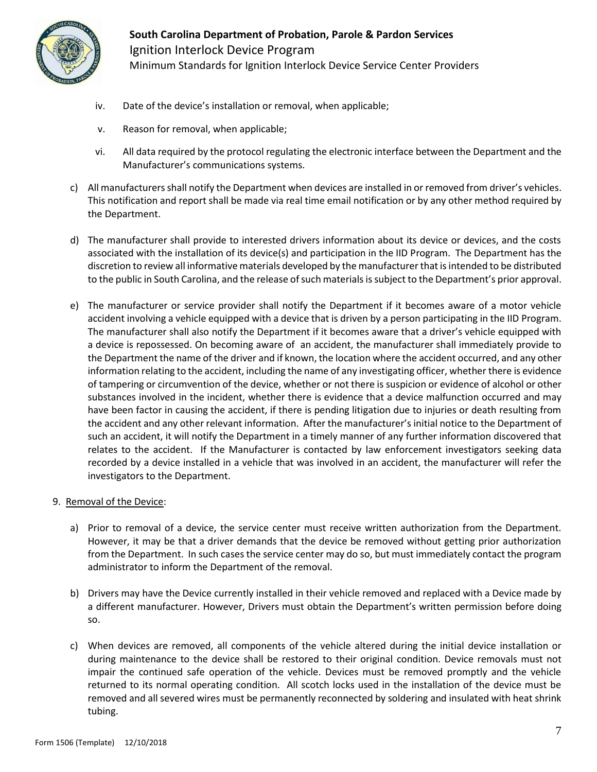

- iv. Date of the device's installation or removal, when applicable;
- v. Reason for removal, when applicable;
- vi. All data required by the protocol regulating the electronic interface between the Department and the Manufacturer's communications systems.
- c) All manufacturers shall notify the Department when devices are installed in or removed from driver's vehicles. This notification and report shall be made via real time email notification or by any other method required by the Department.
- d) The manufacturer shall provide to interested drivers information about its device or devices, and the costs associated with the installation of its device(s) and participation in the IID Program. The Department has the discretion to review all informative materials developed by the manufacturer that is intended to be distributed to the public in South Carolina, and the release of such materials is subject to the Department's prior approval.
- e) The manufacturer or service provider shall notify the Department if it becomes aware of a motor vehicle accident involving a vehicle equipped with a device that is driven by a person participating in the IID Program. The manufacturer shall also notify the Department if it becomes aware that a driver's vehicle equipped with a device is repossessed. On becoming aware of an accident, the manufacturer shall immediately provide to the Department the name of the driver and if known, the location where the accident occurred, and any other information relating to the accident, including the name of any investigating officer, whether there is evidence of tampering or circumvention of the device, whether or not there is suspicion or evidence of alcohol or other substances involved in the incident, whether there is evidence that a device malfunction occurred and may have been factor in causing the accident, if there is pending litigation due to injuries or death resulting from the accident and any other relevant information. After the manufacturer's initial notice to the Department of such an accident, it will notify the Department in a timely manner of any further information discovered that relates to the accident. If the Manufacturer is contacted by law enforcement investigators seeking data recorded by a device installed in a vehicle that was involved in an accident, the manufacturer will refer the investigators to the Department.
- 9. Removal of the Device:
	- a) Prior to removal of a device, the service center must receive written authorization from the Department. However, it may be that a driver demands that the device be removed without getting prior authorization from the Department. In such cases the service center may do so, but must immediately contact the program administrator to inform the Department of the removal.
	- b) Drivers may have the Device currently installed in their vehicle removed and replaced with a Device made by a different manufacturer. However, Drivers must obtain the Department's written permission before doing so.
	- c) When devices are removed, all components of the vehicle altered during the initial device installation or during maintenance to the device shall be restored to their original condition. Device removals must not impair the continued safe operation of the vehicle. Devices must be removed promptly and the vehicle returned to its normal operating condition. All scotch locks used in the installation of the device must be removed and all severed wires must be permanently reconnected by soldering and insulated with heat shrink tubing.